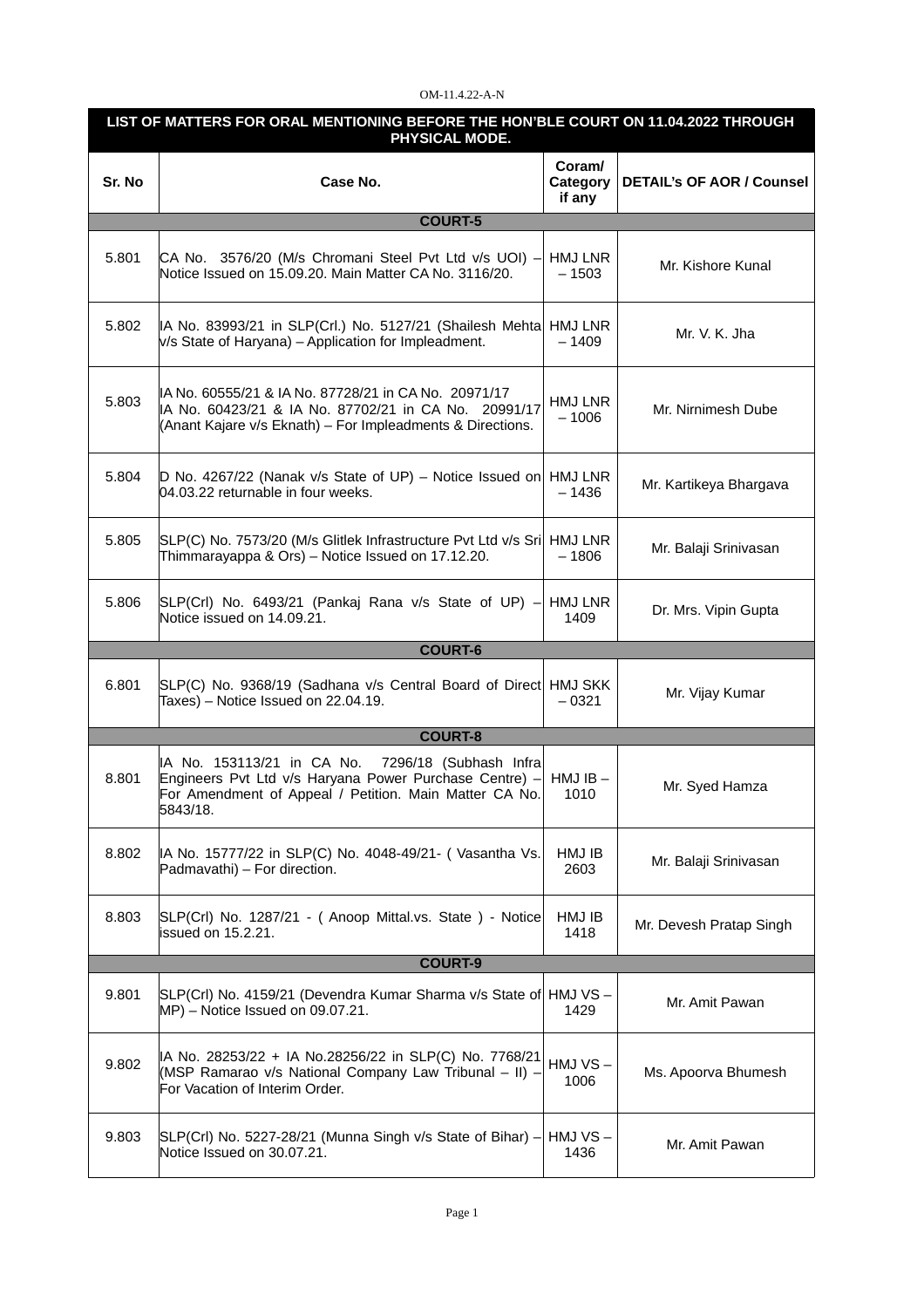## OM-11.4.22-A-N

| LIST OF MATTERS FOR ORAL MENTIONING BEFORE THE HON'BLE COURT ON 11.04.2022 THROUGH<br>PHYSICAL MODE. |                                                                                                                                                                                      |                              |                                  |  |  |
|------------------------------------------------------------------------------------------------------|--------------------------------------------------------------------------------------------------------------------------------------------------------------------------------------|------------------------------|----------------------------------|--|--|
| Sr. No                                                                                               | Case No.                                                                                                                                                                             | Coram/<br>Category<br>if any | <b>DETAIL's OF AOR / Counsel</b> |  |  |
|                                                                                                      | <b>COURT-5</b>                                                                                                                                                                       |                              |                                  |  |  |
| 5.801                                                                                                | CA No. 3576/20 (M/s Chromani Steel Pvt Ltd v/s UOI) -<br>Notice Issued on 15.09.20. Main Matter CA No. 3116/20.                                                                      | HMJ LNR<br>$-1503$           | Mr. Kishore Kunal                |  |  |
| 5.802                                                                                                | IA No. 83993/21 in SLP(Crl.) No. 5127/21 (Shailesh Mehta HMJ LNR<br>v/s State of Haryana) - Application for Impleadment.                                                             | $-1409$                      | Mr. V. K. Jha                    |  |  |
| 5.803                                                                                                | IA No. 60555/21 & IA No. 87728/21 in CA No. 20971/17<br>IA No. 60423/21 & IA No. 87702/21 in CA No. 20991/17<br>(Anant Kajare v/s Eknath) - For Impleadments & Directions.           | HMJ LNR<br>$-1006$           | Mr. Nirnimesh Dube               |  |  |
| 5.804                                                                                                | D No. 4267/22 (Nanak v/s State of UP) – Notice Issued on<br>04.03.22 returnable in four weeks.                                                                                       | HMJ LNR<br>$-1436$           | Mr. Kartikeya Bhargava           |  |  |
| 5.805                                                                                                | SLP(C) No. 7573/20 (M/s Glitlek Infrastructure Pvt Ltd v/s Sri HMJ LNR<br>Thimmarayappa & Ors) - Notice Issued on 17.12.20.                                                          | $-1806$                      | Mr. Balaji Srinivasan            |  |  |
| 5.806                                                                                                | SLP(Crl) No. 6493/21 (Pankaj Rana v/s State of UP) -<br>Notice issued on 14.09.21.                                                                                                   | HMJ LNR<br>1409              | Dr. Mrs. Vipin Gupta             |  |  |
|                                                                                                      | <b>COURT-6</b>                                                                                                                                                                       |                              |                                  |  |  |
| 6.801                                                                                                | SLP(C) No. 9368/19 (Sadhana v/s Central Board of Direct HMJ SKK<br>Taxes) - Notice Issued on 22.04.19.                                                                               | $-0321$                      | Mr. Vijay Kumar                  |  |  |
|                                                                                                      | <b>COURT-8</b>                                                                                                                                                                       |                              |                                  |  |  |
| 8.801                                                                                                | IA No. 153113/21 in CA No.<br>7296/18 (Subhash Infra<br>Engineers Pvt Ltd v/s Haryana Power Purchase Centre) -<br>For Amendment of Appeal / Petition. Main Matter CA No.<br>5843/18. | $HMJIB -$<br>1010            | Mr. Syed Hamza                   |  |  |
| 8.802                                                                                                | IA No. 15777/22 in SLP(C) No. 4048-49/21- (Vasantha Vs.<br>Padmavathi) - For direction.                                                                                              | HMJ IB<br>2603               | Mr. Balaji Srinivasan            |  |  |
| 8.803                                                                                                | SLP(Crl) No. 1287/21 - ( Anoop Mittal.vs. State ) - Notice<br>issued on 15.2.21.                                                                                                     | HMJ IB<br>1418               | Mr. Devesh Pratap Singh          |  |  |
| <b>COURT-9</b>                                                                                       |                                                                                                                                                                                      |                              |                                  |  |  |
| 9.801                                                                                                | SLP(Crl) No. 4159/21 (Devendra Kumar Sharma v/s State of HMJ VS -<br>$MP$ ) – Notice Issued on 09.07.21.                                                                             | 1429                         | Mr. Amit Pawan                   |  |  |
| 9.802                                                                                                | IA No. 28253/22 + IA No.28256/22 in SLP(C) No. 7768/21<br>(MSP Ramarao v/s National Company Law Tribunal – II) –<br>For Vacation of Interim Order.                                   | HMJ VS –<br>1006             | Ms. Apoorva Bhumesh              |  |  |
| 9.803                                                                                                | SLP(Crl) No. 5227-28/21 (Munna Singh v/s State of Bihar) -<br>Notice Issued on 30.07.21.                                                                                             | HMJ VS-<br>1436              | Mr. Amit Pawan                   |  |  |